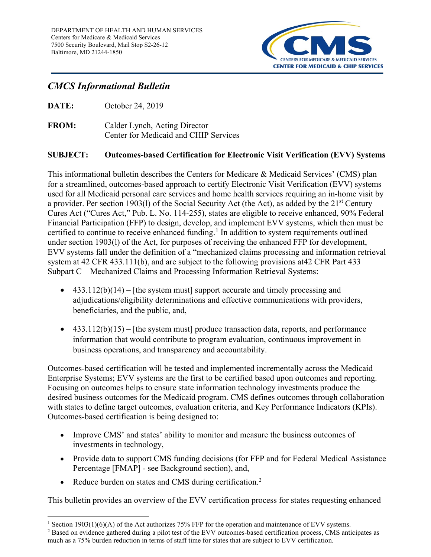

# *CMCS Informational Bulletin*

**DATE:** October 24, 2019

**FROM:** Calder Lynch, Acting Director Center for Medicaid and CHIP Services

#### **SUBJECT: Outcomes-based Certification for Electronic Visit Verification (EVV) Systems**

This informational bulletin describes the Centers for Medicare & Medicaid Services' (CMS) plan for a streamlined, outcomes-based approach to certify Electronic Visit Verification (EVV) systems used for all Medicaid personal care services and home health services requiring an in-home visit by a provider. Per section 1903(1) of the Social Security Act (the Act), as added by the 21<sup>st</sup> Century Cures Act ("Cures Act," Pub. L. No. 114-255), states are eligible to receive enhanced, 90% Federal Financial Participation (FFP) to design, develop, and implement EVV systems, which then must be certified to continue to receive enhanced funding.<sup>[1](#page-0-0)</sup> In addition to system requirements outlined under section 1903(l) of the Act, for purposes of receiving the enhanced FFP for development, EVV systems fall under the definition of a "mechanized claims processing and information retrieval system at 42 CFR 433.111(b), and are subject to the following provisions at42 CFR Part 433 Subpart C—Mechanized Claims and Processing Information Retrieval Systems:

- $433.112(b)(14) -$  [the system must] support accurate and timely processing and adjudications/eligibility determinations and effective communications with providers, beneficiaries, and the public, and,
- $433.112(b)(15) -$  [the system must] produce transaction data, reports, and performance information that would contribute to program evaluation, continuous improvement in business operations, and transparency and accountability.

Outcomes-based certification will be tested and implemented incrementally across the Medicaid Enterprise Systems; EVV systems are the first to be certified based upon outcomes and reporting. Focusing on outcomes helps to ensure state information technology investments produce the desired business outcomes for the Medicaid program. CMS defines outcomes through collaboration with states to define target outcomes, evaluation criteria, and Key Performance Indicators (KPIs). Outcomes-based certification is being designed to:

- Improve CMS' and states' ability to monitor and measure the business outcomes of investments in technology,
- Provide data to support CMS funding decisions (for FFP and for Federal Medical Assistance Percentage [FMAP] - see Background section), and,
- Reduce burden on states and CMS during certification.<sup>[2](#page-0-1)</sup>

This bulletin provides an overview of the EVV certification process for states requesting enhanced

<span id="page-0-0"></span> $\overline{a}$ <sup>1</sup> Section 1903(1)(6)(A) of the Act authorizes 75% FFP for the operation and maintenance of EVV systems.

<span id="page-0-1"></span><sup>&</sup>lt;sup>2</sup> Based on evidence gathered during a pilot test of the EVV outcomes-based certification process, CMS anticipates as much as a 75% burden reduction in terms of staff time for states that are subject to EVV certification.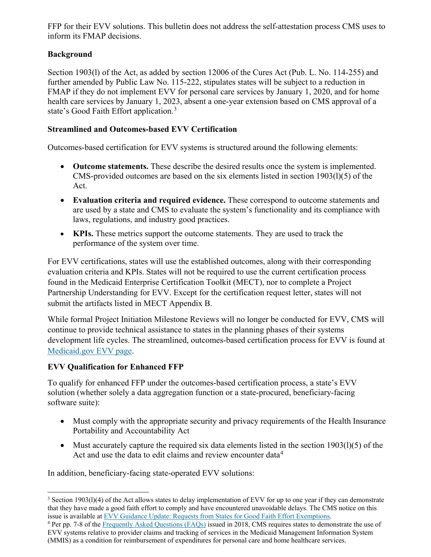FFP for their EVV solutions. This bulletin does not address the self-attestation process CMS uses to inform its FMAP decisions.

## **Background**

Section 1903(l) of the Act, as added by section 12006 of the Cures Act (Pub. L. No. 114-255) and further amended by Public Law No. 115-222, stipulates states will be subject to a reduction in FMAP if they do not implement EVV for personal care services by January 1, 2020, and for home health care services by January 1, 2023, absent a one-year extension based on CMS approval of a state's Good Faith Effort application.<sup>[3](#page-1-0)</sup>

#### **Streamlined and Outcomes-based EVV Certification**

Outcomes-based certification for EVV systems is structured around the following elements:

- **Outcome statements.** These describe the desired results once the system is implemented. CMS-provided outcomes are based on the six elements listed in section 1903(l)(5) of the Act.
- **Evaluation criteria and required evidence.** These correspond to outcome statements and are used by a state and CMS to evaluate the system's functionality and its compliance with laws, regulations, and industry good practices.
- **KPIs.** These metrics support the outcome statements. They are used to track the performance of the system over time.

For EVV certifications, states will use the established outcomes, along with their corresponding evaluation criteria and KPIs. States will not be required to use the current certification process found in the Medicaid Enterprise Certification Toolkit (MECT), nor to complete a Project Partnership Understanding for EVV. Except for the certification request letter, states will not submit the artifacts listed in MECT Appendix B.

While formal Project Initiation Milestone Reviews will no longer be conducted for EVV, CMS will continue to provide technical assistance to states in the planning phases of their systems development life cycles. The streamlined, outcomes-based certification process for EVV is found at [Medicaid.gov EVV page.](https://medicaid.gov/medicaid/data-and-systems/outcomes-based-certification/electronic-visit-verification-certification/index.html)

#### **EVV Qualification for Enhanced FFP**

To qualify for enhanced FFP under the outcomes-based certification process, a state's EVV solution (whether solely a data aggregation function or a state-procured, beneficiary-facing software suite):

- Must comply with the appropriate security and privacy requirements of the Health Insurance Portability and Accountability Act
- Must accurately capture the required six data elements listed in the section 1903(1)(5) of the Act and use the data to edit claims and review encounter data<sup>[4](#page-1-1)</sup>

In addition, beneficiary-facing state-operated EVV solutions:

<span id="page-1-0"></span> $\overline{a}$  $3$  Section 1903(1)(4) of the Act allows states to delay implementation of EVV for up to one year if they can demonstrate that they have made a good faith effort to comply and have encountered unavoidable delays. The CMS notice on this issue is available a[t EVV Guidance Update: Requests from States for Good Faith Effort Exemptions.](https://www.medicaid.gov/medicaid/hcbs/downloads/guidance/evv-gfe-update-pcs.pdf)<br><sup>4</sup> Per pp. 7-8 of th[e Frequently Asked Questions \(FAQs\)](https://www.medicaid.gov/federal-policy-guidance/downloads/faq051618.pdf) issued in 2018, CMS requires states to demonstrate the use of

<span id="page-1-1"></span>EVV systems relative to provider claims and tracking of services in the Medicaid Management Information System (MMIS) as a condition for reimbursement of expenditures for personal care and home healthcare services.